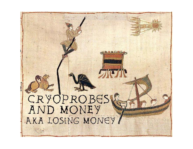# CRYOPROBES AKA LOSING MONEY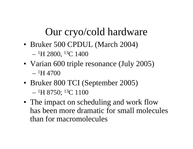#### Our cryo/cold hardware

• Bruker 500 CPDUL (March 2004)

– 1H 2800, 13C 1400

- Varian 600 triple resonance (July 2005) –1H 4700
- Bruker 800 TCI (September 2005) – 1H 8750; 13C 1100
- The impact on scheduling and work flow has been more dramatic for small molecules than for macromolecules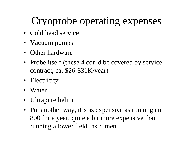# Cryoprobe operating expenses

- Cold head service
- Vacuum pumps
- Other hardware
- Probe itself (these 4 could be covered by service contract, ca. \$26-\$31K/year)
- Electricity
- Water
- Ultrapure helium
- Put another way, it's as expensive as running an 800 for a year, quite a bit more expensive than running a lower field instrument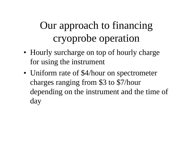# Our approach to financing cryoprobe operation

- Hourly surcharge on top of hourly charge for using the instrument
- • Uniform rate of \$4/hour on spectrometer charges ranging from \$3 to \$7/hour depending on the instrument and the time of day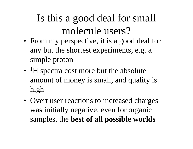# Is this a good deal for small molecule users?

- From my perspective, it is a good deal for any but the shortest experiments, e.g. a simple proton
- <sup>1</sup>H spectra cost more but the absolute amount of money is small, and quality is high
- Overt user reactions to increased charges was initially negative, even for organic samples, the **best of all possible worlds**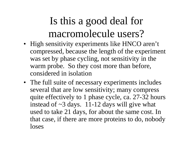# Is this a good deal for macromolecule users?

- High sensitivity experiments like HNCO aren't compressed, because the length of the experiment was set by phase cycling, not sensitivity in the warm probe. So they cost more than before, considered in isolation
- The full suite of necessary experiments includes several that are low sensitivity; many compress quite effectively to 1 phase cycle, ca. 27-32 hours instead of  $\sim$ 3 days. 11-12 days will give what used to take 21 days, for about the same cost. In that case, if there are more proteins to do, nobody loses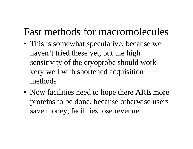### Fast methods for macromolecules

- This is somewhat speculative, because we haven't tried these yet, but the high sensitivity of the cryoprobe should work very well with shortened acquisition methods
- Now facilities need to hope there ARE more proteins to be done, because otherwise users save money, facilities lose revenue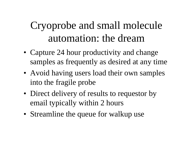### Cryoprobe and small molecule automation: the dream

- Capture 24 hour productivity and change samples as frequently as desired at any time
- Avoid having users load their own samples into the fragile probe
- Direct delivery of results to requestor by email typically within 2 hours
- Streamline the queue for walkup use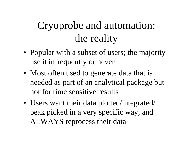# Cryoprobe and automation: the reality

- Popular with a subset of users; the majority use it infrequently or never
- Most often used to generate data that is needed as part of an analytical package but not for time sensitive results
- Users want their data plotted/integrated/ peak picked in a very specific way, and ALWAYS reprocess their data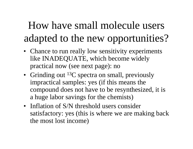# How have small molecule users adapted to the new opportunities?

- Chance to run really low sensitivity experiments like INADEQUATE, which become widely practical now (see next page): no
- Grinding out  ${}^{13}C$  spectra on small, previously impractical samples: yes (if this means the compound does not have to be resynthesized, it is a huge labor savings for the chemists)
- Inflation of S/N threshold users consider satisfactory: yes (this is where we are making back the most lost income)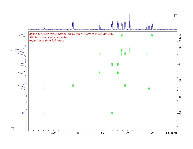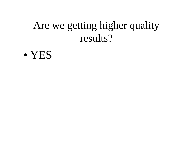#### Are we getting higher quality results?